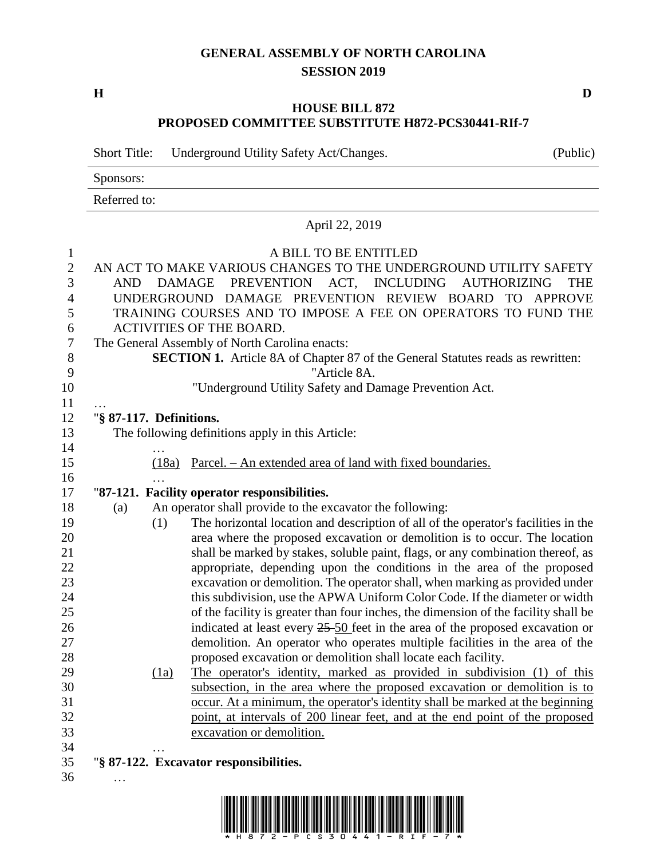### **GENERAL ASSEMBLY OF NORTH CAROLINA SESSION 2019**

**H D**

…

### **HOUSE BILL 872 PROPOSED COMMITTEE SUBSTITUTE H872-PCS30441-RIf-7**

Short Title: Underground Utility Safety Act/Changes. (Public)

Sponsors:

Referred to:

# April 22, 2019

## A BILL TO BE ENTITLED AN ACT TO MAKE VARIOUS CHANGES TO THE UNDERGROUND UTILITY SAFETY AND DAMAGE PREVENTION ACT, INCLUDING AUTHORIZING THE UNDERGROUND DAMAGE PREVENTION REVIEW BOARD TO APPROVE TRAINING COURSES AND TO IMPOSE A FEE ON OPERATORS TO FUND THE ACTIVITIES OF THE BOARD. The General Assembly of North Carolina enacts: **SECTION 1.** Article 8A of Chapter 87 of the General Statutes reads as rewritten: "Article 8A. "Underground Utility Safety and Damage Prevention Act. … "**§ 87-117. Definitions.** The following definitions apply in this Article: … (18a) Parcel. – An extended area of land with fixed boundaries. … "**87-121. Facility operator responsibilities.** (a) An operator shall provide to the excavator the following: (1) The horizontal location and description of all of the operator's facilities in the area where the proposed excavation or demolition is to occur. The location 21 shall be marked by stakes, soluble paint, flags, or any combination thereof, as appropriate, depending upon the conditions in the area of the proposed excavation or demolition. The operator shall, when marking as provided under this subdivision, use the APWA Uniform Color Code. If the diameter or width of the facility is greater than four inches, the dimension of the facility shall be indicated at least every 25 50 feet in the area of the proposed excavation or demolition. An operator who operates multiple facilities in the area of the proposed excavation or demolition shall locate each facility. (1a) The operator's identity, marked as provided in subdivision (1) of this subsection, in the area where the proposed excavation or demolition is to occur. At a minimum, the operator's identity shall be marked at the beginning point, at intervals of 200 linear feet, and at the end point of the proposed excavation or demolition. … "**§ 87-122. Excavator responsibilities.**

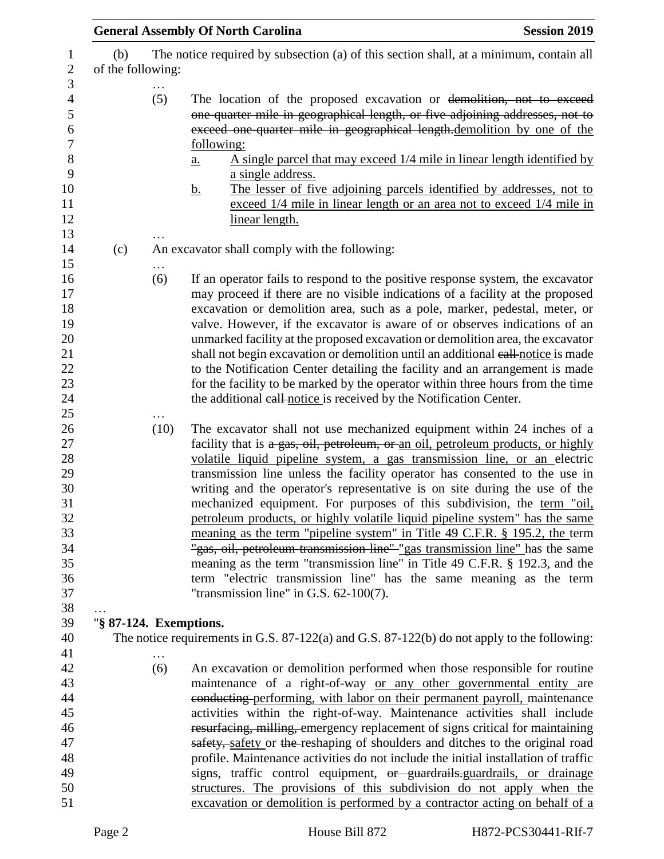|                          |                                               | <b>General Assembly Of North Carolina</b>                                                                                                                                                                                                                                                                                                                                                                                                                                                                                                                                                                                                                                                                                                                                                                                                                                                                                   | <b>Session 2019</b> |  |
|--------------------------|-----------------------------------------------|-----------------------------------------------------------------------------------------------------------------------------------------------------------------------------------------------------------------------------------------------------------------------------------------------------------------------------------------------------------------------------------------------------------------------------------------------------------------------------------------------------------------------------------------------------------------------------------------------------------------------------------------------------------------------------------------------------------------------------------------------------------------------------------------------------------------------------------------------------------------------------------------------------------------------------|---------------------|--|
| (b)<br>of the following: |                                               | The notice required by subsection (a) of this section shall, at a minimum, contain all                                                                                                                                                                                                                                                                                                                                                                                                                                                                                                                                                                                                                                                                                                                                                                                                                                      |                     |  |
|                          | (5)                                           | The location of the proposed excavation or demolition, not to exceed<br>one-quarter mile in geographical length, or five adjoining addresses, not to<br>exceed one quarter mile in geographical length.demolition by one of the<br>following:<br>A single parcel that may exceed 1/4 mile in linear length identified by<br>a.<br>a single address.<br>The lesser of five adjoining parcels identified by addresses, not to<br><u>b.</u><br>exceed 1/4 mile in linear length or an area not to exceed 1/4 mile in<br>linear length.                                                                                                                                                                                                                                                                                                                                                                                         |                     |  |
| (c)                      | An excavator shall comply with the following: |                                                                                                                                                                                                                                                                                                                                                                                                                                                                                                                                                                                                                                                                                                                                                                                                                                                                                                                             |                     |  |
|                          | (6)                                           | If an operator fails to respond to the positive response system, the excavator<br>may proceed if there are no visible indications of a facility at the proposed<br>excavation or demolition area, such as a pole, marker, pedestal, meter, or<br>valve. However, if the excavator is aware of or observes indications of an<br>unmarked facility at the proposed excavation or demolition area, the excavator<br>shall not begin excavation or demolition until an additional eall-notice is made<br>to the Notification Center detailing the facility and an arrangement is made<br>for the facility to be marked by the operator within three hours from the time<br>the additional eall notice is received by the Notification Center.                                                                                                                                                                                   |                     |  |
|                          | (10)                                          | The excavator shall not use mechanized equipment within 24 inches of a<br>facility that is a gas, oil, petroleum, or an oil, petroleum products, or highly<br>volatile liquid pipeline system, a gas transmission line, or an electric<br>transmission line unless the facility operator has consented to the use in<br>writing and the operator's representative is on site during the use of the<br>mechanized equipment. For purposes of this subdivision, the term "oil,<br>petroleum products, or highly volatile liquid pipeline system" has the same<br>meaning as the term "pipeline system" in Title 49 C.F.R. § 195.2, the term<br>"gas, oil, petroleum transmission line" "gas transmission line" has the same<br>meaning as the term "transmission line" in Title 49 C.F.R. § 192.3, and the<br>term "electric transmission line" has the same meaning as the term<br>"transmission line" in G.S. $62-100(7)$ . |                     |  |
| "§ 87-124. Exemptions.   |                                               |                                                                                                                                                                                                                                                                                                                                                                                                                                                                                                                                                                                                                                                                                                                                                                                                                                                                                                                             |                     |  |
|                          |                                               | The notice requirements in G.S. 87-122(a) and G.S. 87-122(b) do not apply to the following:                                                                                                                                                                                                                                                                                                                                                                                                                                                                                                                                                                                                                                                                                                                                                                                                                                 |                     |  |
|                          | (6)                                           | An excavation or demolition performed when those responsible for routine<br>maintenance of a right-of-way or any other governmental entity are<br>eonducting performing, with labor on their permanent payroll, maintenance<br>activities within the right-of-way. Maintenance activities shall include<br>resurfacing, milling, emergency replacement of signs critical for maintaining<br>safety, safety or the reshaping of shoulders and ditches to the original road<br>profile. Maintenance activities do not include the initial installation of traffic<br>signs, traffic control equipment, <del>or guardrails</del> -guardrails, or drainage<br>structures. The provisions of this subdivision do not apply when the<br>excavation or demolition is performed by a contractor acting on behalf of a                                                                                                               |                     |  |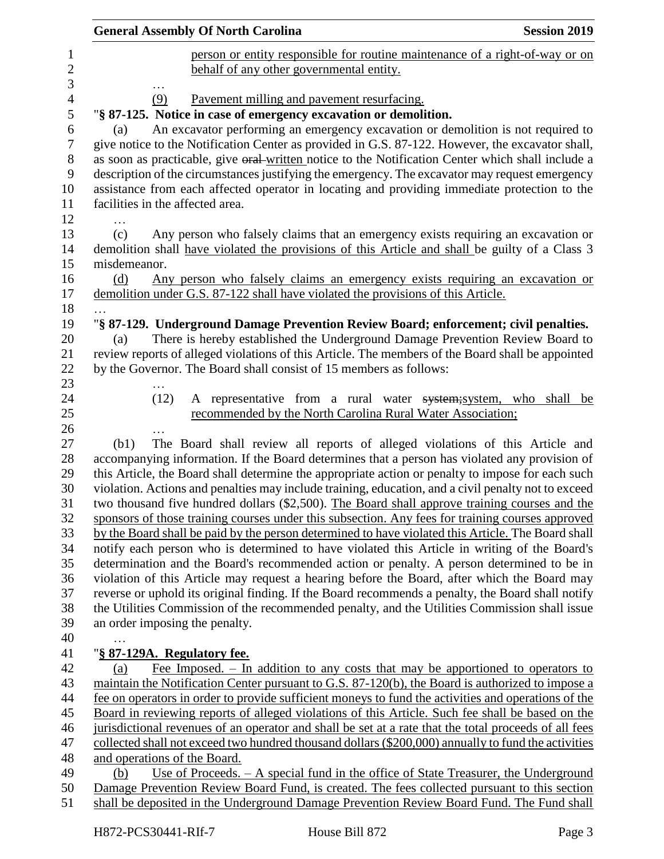| <b>General Assembly Of North Carolina</b><br><b>Session 2019</b> |                                                                                                                                                                                                          |    |
|------------------------------------------------------------------|----------------------------------------------------------------------------------------------------------------------------------------------------------------------------------------------------------|----|
|                                                                  | person or entity responsible for routine maintenance of a right-of-way or on                                                                                                                             |    |
|                                                                  | behalf of any other governmental entity.                                                                                                                                                                 |    |
|                                                                  |                                                                                                                                                                                                          |    |
| (9)                                                              | Pavement milling and pavement resurfacing.                                                                                                                                                               |    |
|                                                                  | "§ 87-125. Notice in case of emergency excavation or demolition.                                                                                                                                         |    |
| (a)                                                              | An excavator performing an emergency excavation or demolition is not required to                                                                                                                         |    |
|                                                                  | give notice to the Notification Center as provided in G.S. 87-122. However, the excavator shall,                                                                                                         |    |
|                                                                  | as soon as practicable, give oral written notice to the Notification Center which shall include a                                                                                                        |    |
|                                                                  | description of the circumstances justifying the emergency. The excavator may request emergency<br>assistance from each affected operator in locating and providing immediate protection to the           |    |
|                                                                  | facilities in the affected area.                                                                                                                                                                         |    |
|                                                                  |                                                                                                                                                                                                          |    |
| (c)                                                              | Any person who falsely claims that an emergency exists requiring an excavation or                                                                                                                        |    |
|                                                                  | demolition shall have violated the provisions of this Article and shall be guilty of a Class 3                                                                                                           |    |
| misdemeanor.                                                     |                                                                                                                                                                                                          |    |
| (d)                                                              | Any person who falsely claims an emergency exists requiring an excavation or                                                                                                                             |    |
|                                                                  | demolition under G.S. 87-122 shall have violated the provisions of this Article.                                                                                                                         |    |
|                                                                  |                                                                                                                                                                                                          |    |
|                                                                  | "§ 87-129. Underground Damage Prevention Review Board; enforcement; civil penalties.                                                                                                                     |    |
| (a)                                                              | There is hereby established the Underground Damage Prevention Review Board to                                                                                                                            |    |
|                                                                  | review reports of alleged violations of this Article. The members of the Board shall be appointed                                                                                                        |    |
|                                                                  | by the Governor. The Board shall consist of 15 members as follows:                                                                                                                                       |    |
|                                                                  |                                                                                                                                                                                                          |    |
| (12)                                                             | A representative from a rural water system; system, who shall                                                                                                                                            | be |
|                                                                  | recommended by the North Carolina Rural Water Association;                                                                                                                                               |    |
|                                                                  |                                                                                                                                                                                                          |    |
| (b1)                                                             | The Board shall review all reports of alleged violations of this Article and                                                                                                                             |    |
|                                                                  | accompanying information. If the Board determines that a person has violated any provision of                                                                                                            |    |
|                                                                  | this Article, the Board shall determine the appropriate action or penalty to impose for each such<br>violation. Actions and penalties may include training, education, and a civil penalty not to exceed |    |
|                                                                  | two thousand five hundred dollars (\$2,500). The Board shall approve training courses and the                                                                                                            |    |
|                                                                  | sponsors of those training courses under this subsection. Any fees for training courses approved                                                                                                         |    |
|                                                                  | by the Board shall be paid by the person determined to have violated this Article. The Board shall                                                                                                       |    |
|                                                                  | notify each person who is determined to have violated this Article in writing of the Board's                                                                                                             |    |
|                                                                  | determination and the Board's recommended action or penalty. A person determined to be in                                                                                                                |    |
|                                                                  | violation of this Article may request a hearing before the Board, after which the Board may                                                                                                              |    |
|                                                                  | reverse or uphold its original finding. If the Board recommends a penalty, the Board shall notify                                                                                                        |    |
|                                                                  | the Utilities Commission of the recommended penalty, and the Utilities Commission shall issue                                                                                                            |    |
|                                                                  | an order imposing the penalty.                                                                                                                                                                           |    |
|                                                                  |                                                                                                                                                                                                          |    |
|                                                                  | "§ 87-129A. Regulatory fee.                                                                                                                                                                              |    |
| (a)                                                              | Fee Imposed. $-$ In addition to any costs that may be apportioned to operators to                                                                                                                        |    |
|                                                                  | maintain the Notification Center pursuant to G.S. 87-120(b), the Board is authorized to impose a                                                                                                         |    |
|                                                                  | fee on operators in order to provide sufficient moneys to fund the activities and operations of the                                                                                                      |    |
|                                                                  | Board in reviewing reports of alleged violations of this Article. Such fee shall be based on the                                                                                                         |    |
|                                                                  | jurisdictional revenues of an operator and shall be set at a rate that the total proceeds of all fees                                                                                                    |    |
|                                                                  | collected shall not exceed two hundred thousand dollars (\$200,000) annually to fund the activities                                                                                                      |    |
|                                                                  | and operations of the Board.                                                                                                                                                                             |    |
| (b)                                                              | <u>Use of Proceeds. – A special fund in the office of State Treasurer, the Underground</u>                                                                                                               |    |
|                                                                  | Damage Prevention Review Board Fund, is created. The fees collected pursuant to this section                                                                                                             |    |
|                                                                  | shall be deposited in the Underground Damage Prevention Review Board Fund. The Fund shall                                                                                                                |    |